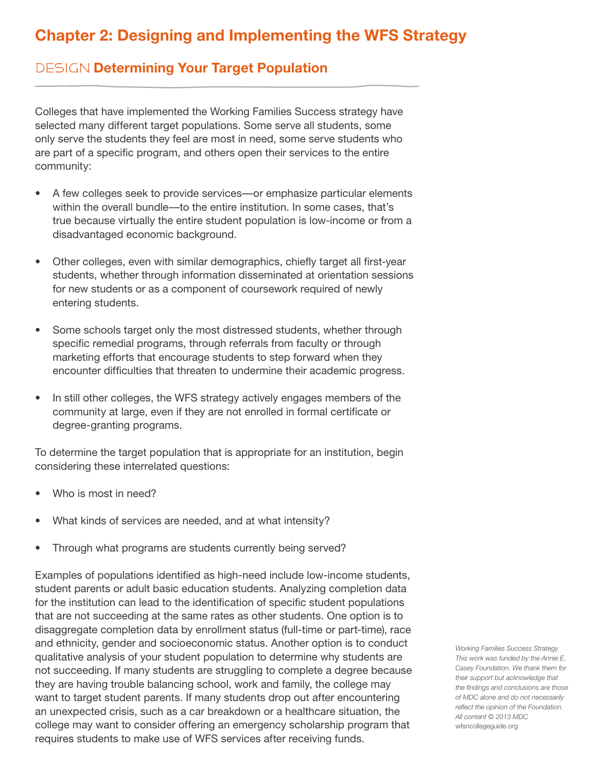## **Chapter 2: Designing and Implementing the WFS Strategy**

## DESIGN Determining Your Target Population

Colleges that have implemented the Working Families Success strategy have selected many different target populations. Some serve all students, some only serve the students they feel are most in need, some serve students who are part of a specific program, and others open their services to the entire community:

- A few colleges seek to provide services—or emphasize particular elements within the overall bundle—to the entire institution. In some cases, that's true because virtually the entire student population is low-income or from a disadvantaged economic background.
- Other colleges, even with similar demographics, chiefly target all first-year students, whether through information disseminated at orientation sessions for new students or as a component of coursework required of newly entering students.
- Some schools target only the most distressed students, whether through specific remedial programs, through referrals from faculty or through marketing efforts that encourage students to step forward when they encounter difficulties that threaten to undermine their academic progress.
- In still other colleges, the WFS strategy actively engages members of the community at large, even if they are not enrolled in formal certificate or degree-granting programs.

To determine the target population that is appropriate for an institution, begin considering these interrelated questions:

- Who is most in need?
- What kinds of services are needed, and at what intensity?
- Through what programs are students currently being served?

Examples of populations identified as high-need include low-income students, student parents or adult basic education students. Analyzing completion data for the institution can lead to the identification of specific student populations that are not succeeding at the same rates as other students. One option is to disaggregate completion data by enrollment status (full-time or part-time), race and ethnicity, gender and socioeconomic status. Another option is to conduct qualitative analysis of your student population to determine why students are not succeeding. If many students are struggling to complete a degree because they are having trouble balancing school, work and family, the college may want to target student parents. If many students drop out after encountering an unexpected crisis, such as a car breakdown or a healthcare situation, the college may want to consider offering an emergency scholarship program that requires students to make use of WFS services after receiving funds.

*Working Families Success Strategy This work was funded by the Annie E. Casey Foundation. We thank them for their support but acknowledge that the findings and conclusions are those of MDC alone and do not necessarily reflect the opinion of the Foundation. All content © 2013 MDC* wfsncollegeguide.org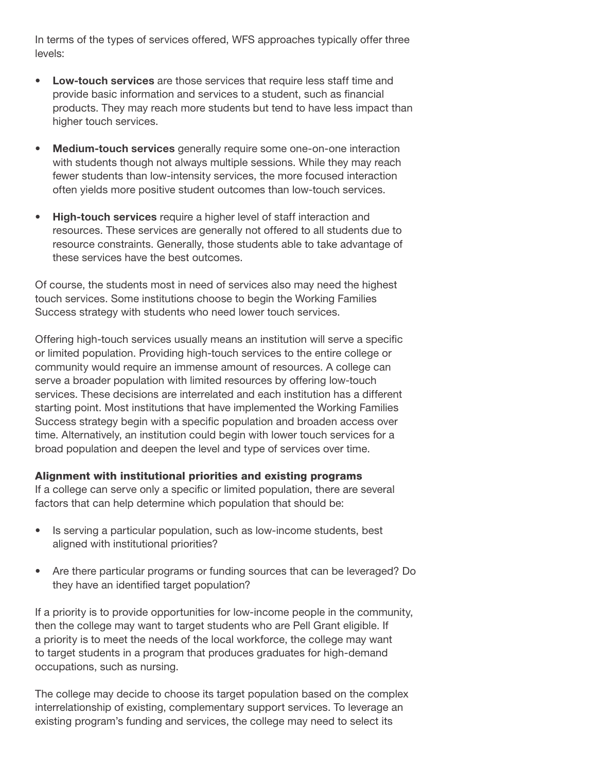In terms of the types of services offered, WFS approaches typically offer three levels:

- **• Low-touch services** are those services that require less staff time and provide basic information and services to a student, such as financial products. They may reach more students but tend to have less impact than higher touch services.
- **• Medium-touch services** generally require some one-on-one interaction with students though not always multiple sessions. While they may reach fewer students than low-intensity services, the more focused interaction often yields more positive student outcomes than low-touch services.
- **• High-touch services** require a higher level of staff interaction and resources. These services are generally not offered to all students due to resource constraints. Generally, those students able to take advantage of these services have the best outcomes.

Of course, the students most in need of services also may need the highest touch services. Some institutions choose to begin the Working Families Success strategy with students who need lower touch services.

Offering high-touch services usually means an institution will serve a specific or limited population. Providing high-touch services to the entire college or community would require an immense amount of resources. A college can serve a broader population with limited resources by offering low-touch services. These decisions are interrelated and each institution has a different starting point. Most institutions that have implemented the Working Families Success strategy begin with a specific population and broaden access over time. Alternatively, an institution could begin with lower touch services for a broad population and deepen the level and type of services over time.

## Alignment with institutional priorities and existing programs

If a college can serve only a specific or limited population, there are several factors that can help determine which population that should be:

- Is serving a particular population, such as low-income students, best aligned with institutional priorities?
- Are there particular programs or funding sources that can be leveraged? Do they have an identified target population?

If a priority is to provide opportunities for low-income people in the community, then the college may want to target students who are Pell Grant eligible. If a priority is to meet the needs of the local workforce, the college may want to target students in a program that produces graduates for high-demand occupations, such as nursing.

The college may decide to choose its target population based on the complex interrelationship of existing, complementary support services. To leverage an existing program's funding and services, the college may need to select its